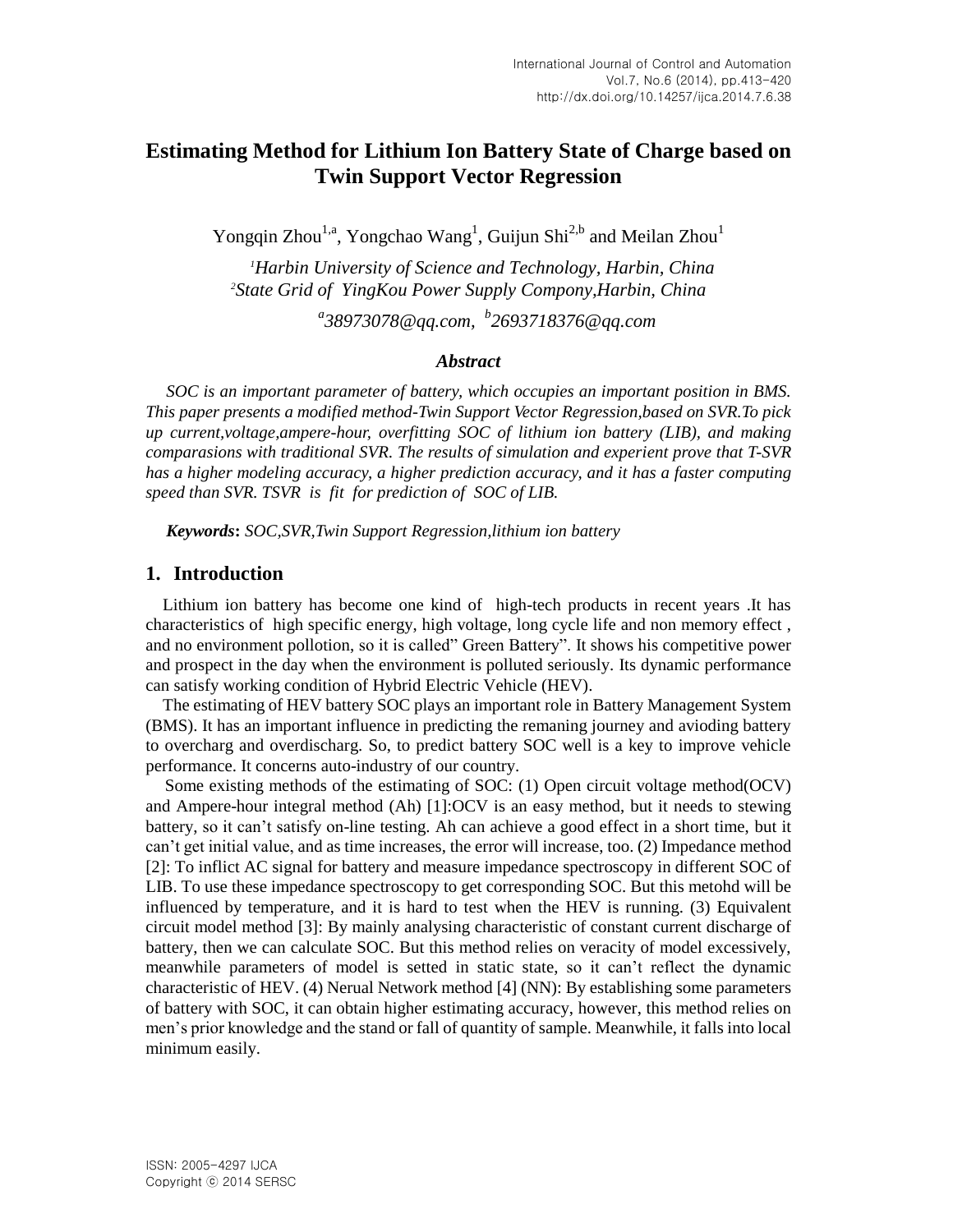# **Estimating Method for Lithium Ion Battery State of Charge based on Twin Support Vector Regression**

Yongqin Zhou<sup>1,a</sup>, Yongchao Wang<sup>1</sup>, Guijun Shi<sup>2,b</sup> and Meilan Zhou<sup>1</sup>

*<sup>1</sup>Harbin University of Science and Technology, Harbin, China <sup>2</sup>State Grid of YingKou Power Supply Compony,Harbin, China*

*a 38973078@qq.com, b 2693718376@qq.com*

### *Abstract*

*SOC is an important parameter of battery, which occupies an important position in BMS. This paper presents a modified method-Twin Support Vector Regression,based on SVR.To pick up current,voltage,ampere-hour, overfitting SOC of lithium ion battery (LIB), and making comparasions with traditional SVR. The results of simulation and experient prove that T-SVR has a higher modeling accuracy, a higher prediction accuracy, and it has a faster computing speed than SVR. TSVR is fit for prediction of SOC of LIB.*

*Keywords***:** *SOC,SVR,Twin Support Regression,lithium ion battery*

### **1. Introduction**

Lithium ion battery has become one kind of high-tech products in recent years .It has characteristics of high specific energy, high voltage, long cycle life and non memory effect , and no environment pollotion, so it is called" Green Battery". It shows his competitive power and prospect in the day when the environment is polluted seriously. Its dynamic performance can satisfy working condition of Hybrid Electric Vehicle (HEV).

The estimating of HEV battery SOC plays an important role in Battery Management System (BMS). It has an important influence in predicting the remaning journey and avioding battery to overcharg and overdischarg. So, to predict battery SOC well is a key to improve vehicle performance. It concerns auto-industry of our country.

Some existing methods of the estimating of SOC: (1) Open circuit voltage method(OCV) and Ampere-hour integral method (Ah) [1]:OCV is an easy method, but it needs to stewing battery, so it can't satisfy on-line testing. Ah can achieve a good effect in a short time, but it can't get initial value, and as time increases, the error will increase, too. (2) Impedance method [2]: To inflict AC signal for battery and measure impedance spectroscopy in different SOC of LIB. To use these impedance spectroscopy to get corresponding SOC. But this metohd will be influenced by temperature, and it is hard to test when the HEV is running. (3) Equivalent circuit model method [3]: By mainly analysing characteristic of constant current discharge of battery, then we can calculate SOC. But this method relies on veracity of model excessively, meanwhile parameters of model is setted in static state, so it can't reflect the dynamic characteristic of HEV. (4) Nerual Network method [4] (NN): By establishing some parameters of battery with SOC, it can obtain higher estimating accuracy, however, this method relies on men's prior knowledge and the stand or fall of quantity of sample. Meanwhile, it falls into local minimum easily.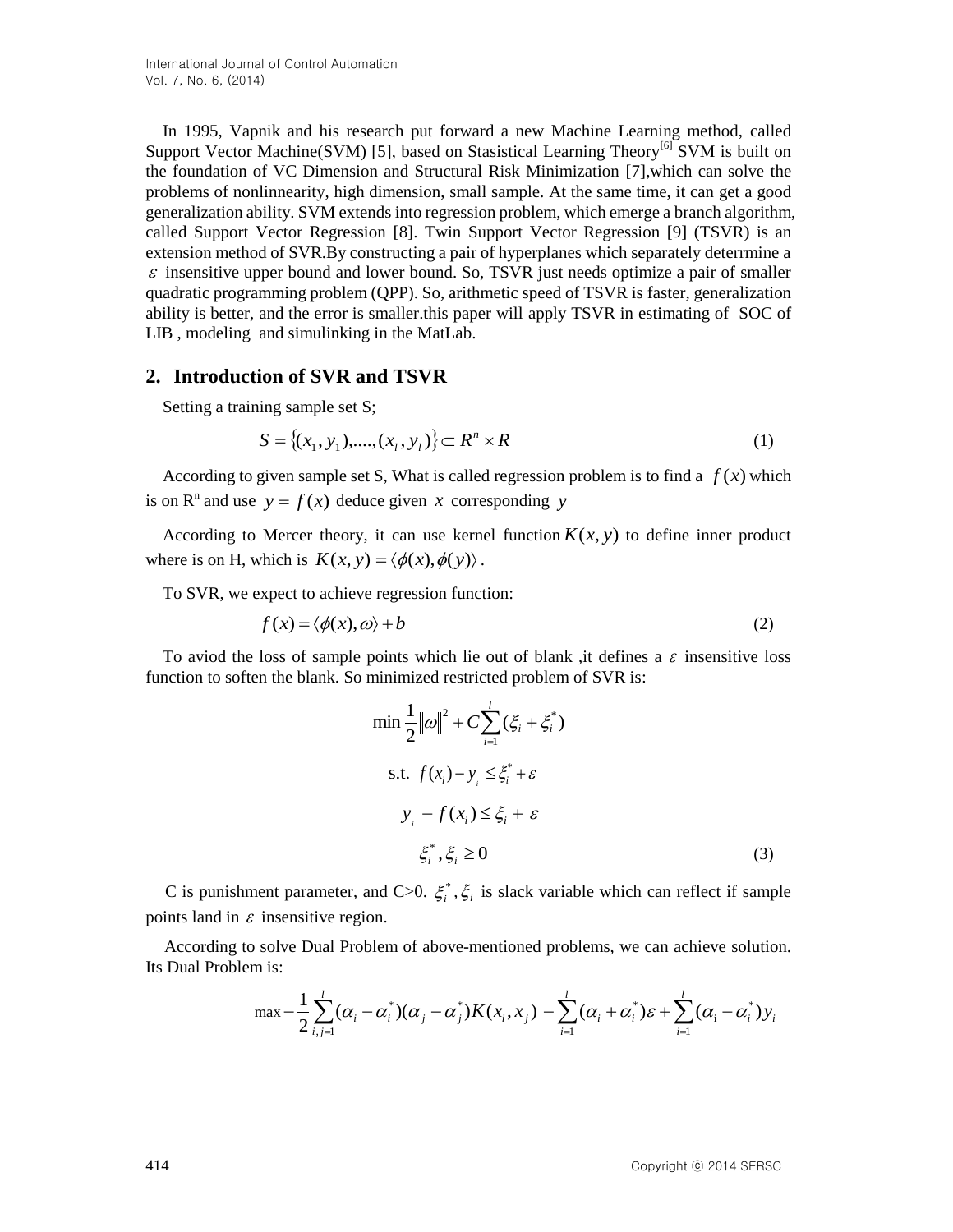In 1995, Vapnik and his research put forward a new Machine Learning method, called Support Vector Machine(SVM) [5], based on Stasistical Learning Theory<sup>[6]</sup> SVM is built on the foundation of VC Dimension and Structural Risk Minimization [7],which can solve the problems of nonlinnearity, high dimension, small sample. At the same time, it can get a good generalization ability. SVM extends into regression problem, which emerge a branch algorithm, called Support Vector Regression [8]. Twin Support Vector Regression [9] (TSVR) is an extension method of SVR.By constructing a pair of hyperplanes which separately deterrmine a  $\varepsilon$  insensitive upper bound and lower bound. So, TSVR just needs optimize a pair of smaller quadratic programming problem (QPP). So, arithmetic speed of TSVR is faster, generalization ability is better, and the error is smaller.this paper will apply TSVR in estimating of SOC of LIB , modeling and simulinking in the MatLab.

### **2. Introduction of SVR and TSVR**

Setting a training sample set S;

$$
S = \{(x_1, y_1), \dots, (x_l, y_l)\} \subset \mathbb{R}^n \times \mathbb{R}
$$
 (1)

According to given sample set S, What is called regression problem is to find a  $f(x)$  which is on  $\mathbb{R}^n$  and use  $y = f(x)$  deduce given x corresponding y

According to Mercer theory, it can use kernel function  $K(x, y)$  to define inner product where is on H, which is  $K(x, y) = \langle \phi(x), \phi(y) \rangle$ .

To SVR, we expect to achieve regression function:

$$
f(x) = \langle \phi(x), \omega \rangle + b \tag{2}
$$

To aviod the loss of sample points which lie out of blank, it defines a  $\varepsilon$  insensitive loss function to soften the blank. So minimized restricted problem of SVR is:

$$
\min \frac{1}{2} ||\omega||^2 + C \sum_{i=1}^l (\xi_i + \xi_i^*)
$$
  
s.t.  $f(x_i) - y_i \le \xi_i^* + \varepsilon$   

$$
y_i - f(x_i) \le \xi_i + \varepsilon
$$
  

$$
\xi_i^*, \xi_i \ge 0
$$
 (3)

C is punishment parameter, and C>0.  $\xi_i^*$ ,  $\xi_i$  is slack variable which can reflect if sample points land in  $\varepsilon$  insensitive region.

 According to solve Dual Problem of above-mentioned problems, we can achieve solution. Its Dual Problem is:

$$
\max -\frac{1}{2}\sum_{i,j=1}^{l}(\alpha_i-\alpha_i^*)(\alpha_j-\alpha_j^*)K(x_i,x_j)-\sum_{i=1}^{l}(\alpha_i+\alpha_i^*)\varepsilon+\sum_{i=1}^{l}(\alpha_i-\alpha_i^*)y_i
$$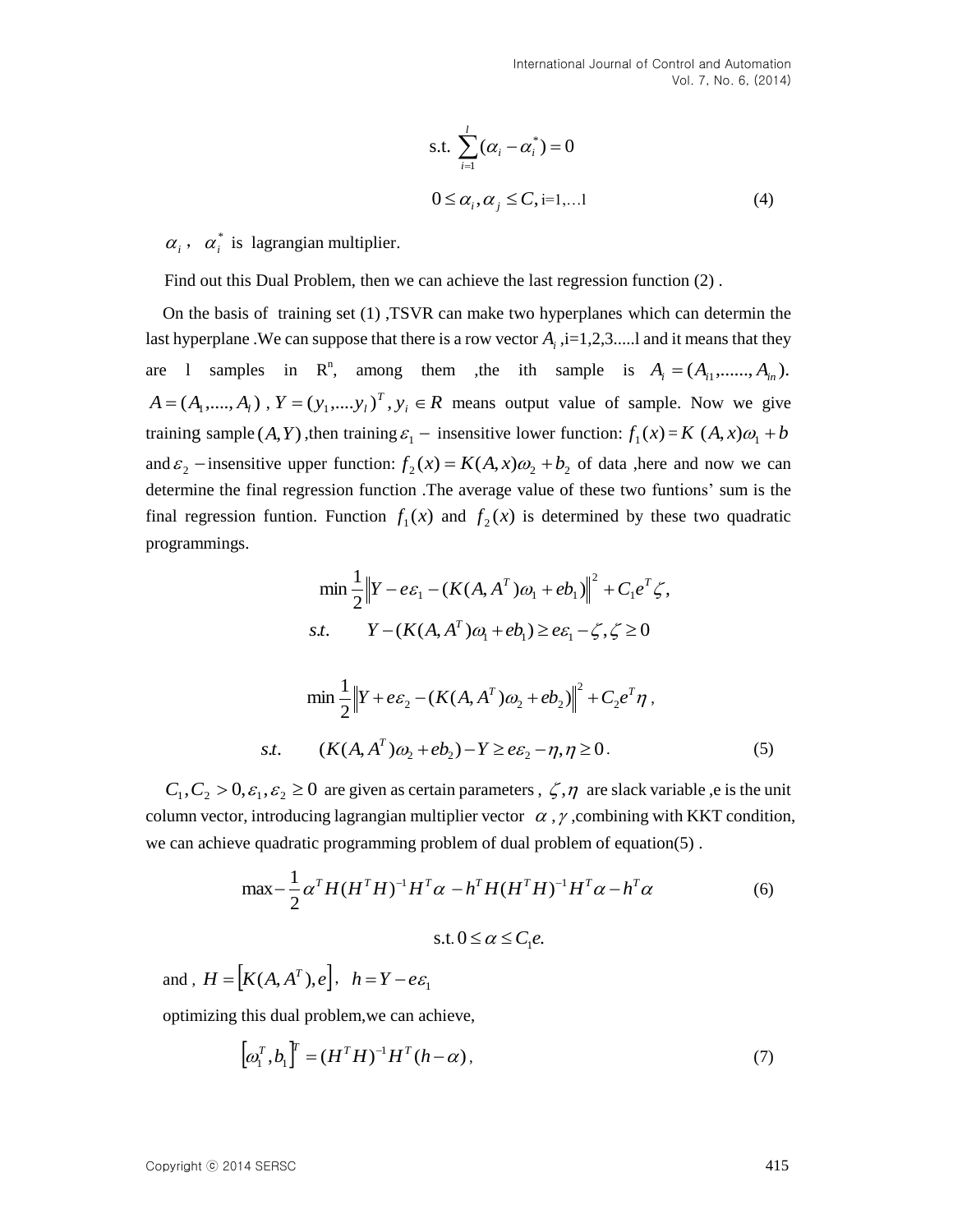s.t. 
$$
\sum_{i=1}^{l} (\alpha_i - \alpha_i^*) = 0
$$
  
 
$$
0 \leq \alpha_i, \alpha_j \leq C, i=1,...l
$$
 (4)

 $\alpha_i$ ,  $\alpha_i^*$  is lagrangian multiplier.

Find out this Dual Problem, then we can achieve the last regression function (2) .

On the basis of training set (1) ,TSVR can make two hyperplanes which can determin the last hyperplane . We can suppose that there is a row vector  $A_i$ ,  $i=1,2,3,...$  and it means that they are 1 samples in  $\mathbb{R}^n$ , among them ,the ith sample is  $A_i = (A_{i1}, \dots, A_{in}).$  $A = (A_1, \dots, A_l)$ ,  $Y = (y_1, \dots, y_l)^T$ ,  $y_i \in R$  means output value of sample. Now we give training sample  $(A, Y)$ , then training  $\varepsilon_1$  – insensitive lower function:  $f_1(x) = K(A, x)\omega_1 + b$ and  $\varepsilon_2$  – insensitive upper function:  $f_2(x) = K(A, x)\omega_2 + b_2$  of data ,here and now we can determine the final regression function .The average value of these two funtions' sum is the final regression funtion. Function  $f_1(x)$  and  $f_2(x)$  is determined by these two quadratic programmings.

$$
\min \frac{1}{2} \left\| Y - e \varepsilon_1 - (K(A, A^T) \omega_1 + e b_1) \right\|^2 + C_1 e^T \zeta,
$$
  
*s.t.* 
$$
Y - (K(A, A^T) \omega_1 + e b_1) \ge e \varepsilon_1 - \zeta, \zeta \ge 0
$$

$$
\min \frac{1}{2} \left\| Y + e \varepsilon_2 - (K(A, A^T) \omega_2 + e b_2) \right\|^2 + C_2 e^T \eta,
$$
  
*s.t.* 
$$
(K(A, A^T) \omega_2 + e b_2) - Y \ge e \varepsilon_2 - \eta, \eta \ge 0.
$$
 (5)

 $C_1, C_2 > 0, \varepsilon_1, \varepsilon_2 \ge 0$  are given as certain parameters,  $\zeta, \eta$  are slack variable ,e is the unit column vector, introducing lagrangian multiplier vector  $\alpha$ ,  $\gamma$ , combining with KKT condition, we can achieve quadratic programming problem of dual problem of equation(5) .

$$
\max -\frac{1}{2}\alpha^{T}H(H^{T}H)^{-1}H^{T}\alpha - h^{T}H(H^{T}H)^{-1}H^{T}\alpha - h^{T}\alpha
$$
\n
$$
\text{s.t. } 0 \le \alpha \le C_{1}e.
$$
\n(6)

and,  $H = [K(A, A^T), e], h = Y - e\epsilon_1$ 

optimizing this dual problem,we can achieve,

$$
\left[\omega_1^T, b_1\right]^T = \left(H^T H\right)^{-1} H^T (h - \alpha),\tag{7}
$$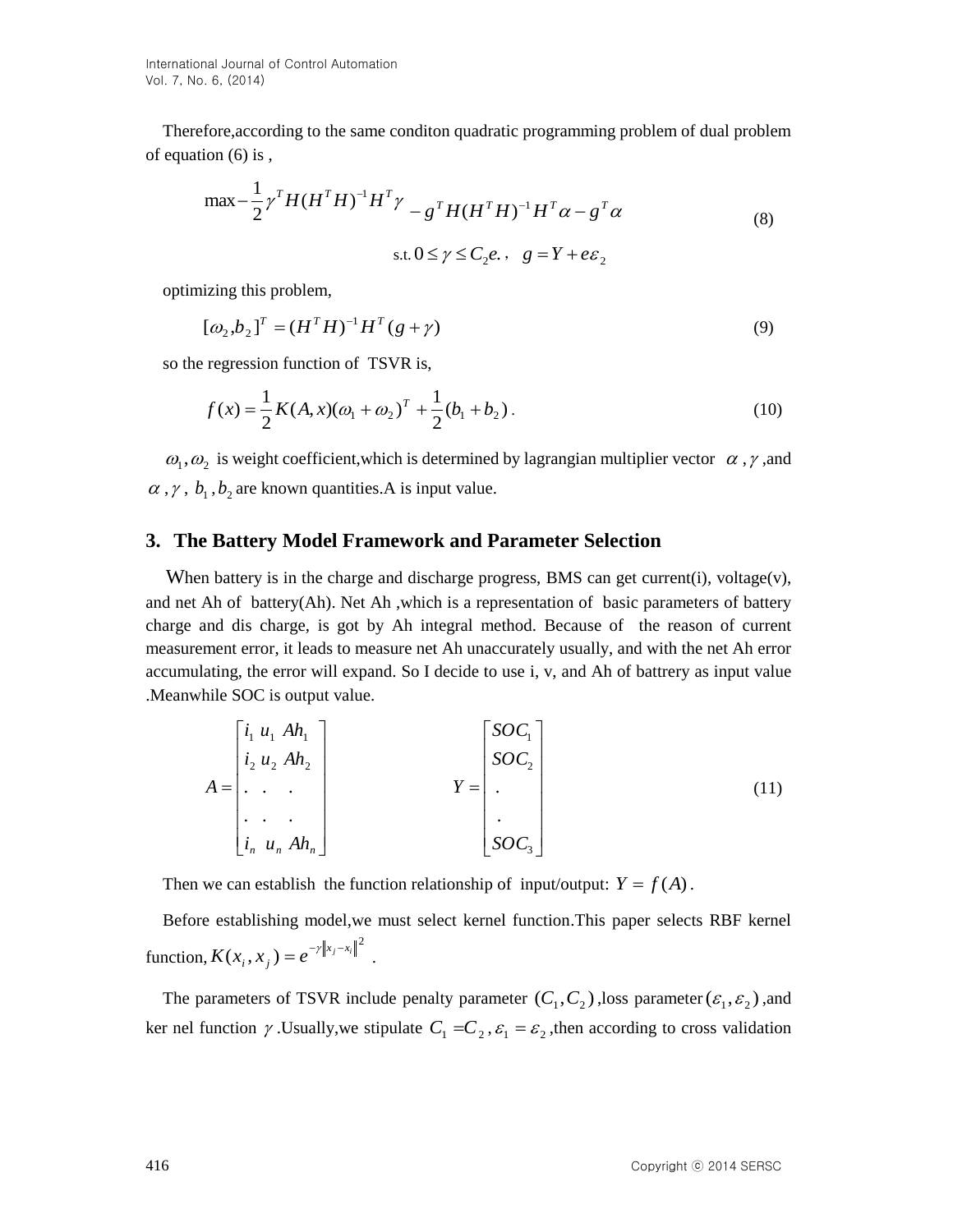Therefore,according to the same conditon quadratic programming problem of dual problem of equation (6) is ,

$$
\max -\frac{1}{2}\gamma^{T}H(H^{T}H)^{-1}H^{T}\gamma - g^{T}H(H^{T}H)^{-1}H^{T}\alpha - g^{T}\alpha
$$
\n
$$
\text{s.t. } 0 \le \gamma \le C_{2}e, \quad g = Y + e\epsilon_{2}
$$
\n
$$
(8)
$$

optimizing this problem,

$$
[\omega_2, b_2]^T = (H^T H)^{-1} H^T (g + \gamma)
$$
\n(9)

so the regression function of TSVR is,

$$
f(x) = \frac{1}{2}K(A, x)(\omega_1 + \omega_2)^T + \frac{1}{2}(b_1 + b_2).
$$
 (10)

 $\omega_1, \omega_2$  is weight coefficient, which is determined by lagrangian multiplier vector  $\alpha$ ,  $\gamma$ , and  $\alpha$ ,  $\gamma$ ,  $b_1$ ,  $b_2$  are known quantities. A is input value.

### **3. The Battery Model Framework and Parameter Selection**

When battery is in the charge and discharge progress, BMS can get current(i), voltage(v), and net Ah of battery(Ah). Net Ah ,which is a representation of basic parameters of battery charge and dis charge, is got by Ah integral method. Because of the reason of current measurement error, it leads to measure net Ah unaccurately usually, and with the net Ah error accumulating, the error will expand. So I decide to use i, v, and Ah of battrery as input value .Meanwhile SOC is output value.

$$
A = \begin{bmatrix} i_1 & u_1 & Ah_1 \\ i_2 & u_2 & Ah_2 \\ \cdot & \cdot & \cdot \\ \cdot & \cdot & \cdot \\ i_n & u_n & Ah_n \end{bmatrix} \qquad \qquad Y = \begin{bmatrix} SOC_1 \\ SOC_2 \\ \cdot \\ \cdot \\ SOC_3 \end{bmatrix}
$$
 (11)

Then we can establish the function relationship of input/output:  $Y = f(A)$ .

Before establishing model,we must select kernel function.This paper selects RBF kernel function,  $K(x_i, x_j) = e^{-\gamma ||x_j - x_i||^2}.$ 

The parameters of TSVR include penalty parameter  $(C_1, C_2)$ , loss parameter  $(\mathcal{E}_1, \mathcal{E}_2)$ , and ker nel function  $\gamma$ . Usually, we stipulate  $C_1 = C_2$ ,  $\varepsilon_1 = \varepsilon_2$ , then according to cross validation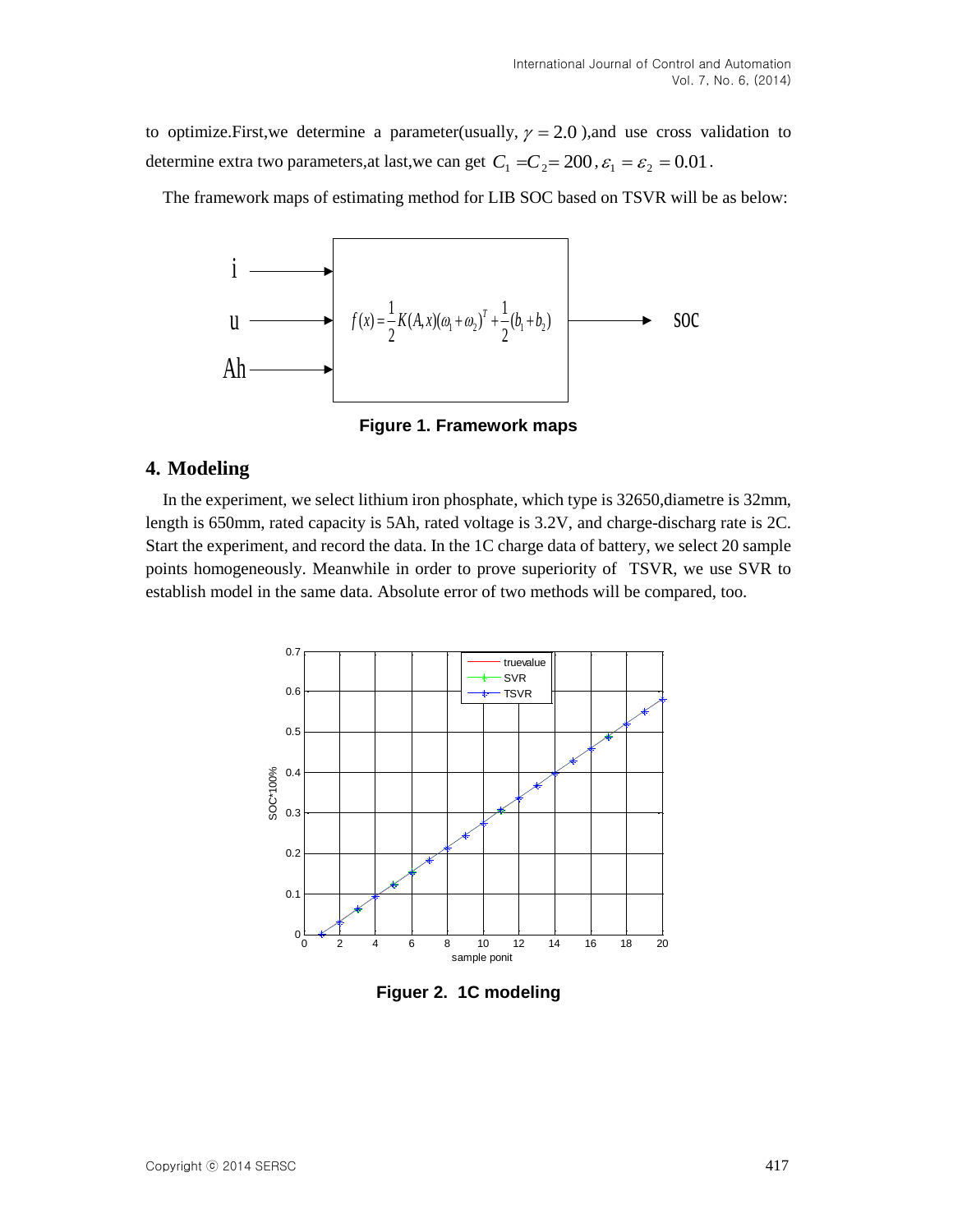to optimize. First, we determine a parameter (usually,  $\gamma = 2.0$ ), and use cross validation to determine extra two parameters, at last, we can get  $C_1 = C_2 = 200$ ,  $\varepsilon_1 = \varepsilon_2 = 0.01$ .

The framework maps of estimating method for LIB SOC based on TSVR will be as below:



**Figure 1. Framework maps**

### **4. Modeling**

In the experiment, we select lithium iron phosphate, which type is 32650,diametre is 32mm, length is 650mm, rated capacity is 5Ah, rated voltage is 3.2V, and charge-discharg rate is 2C. Start the experiment, and record the data. In the 1C charge data of battery, we select 20 sample points homogeneously. Meanwhile in order to prove superiority of TSVR, we use SVR to establish model in the same data. Absolute error of two methods will be compared, too.



**Figuer 2. 1C modeling**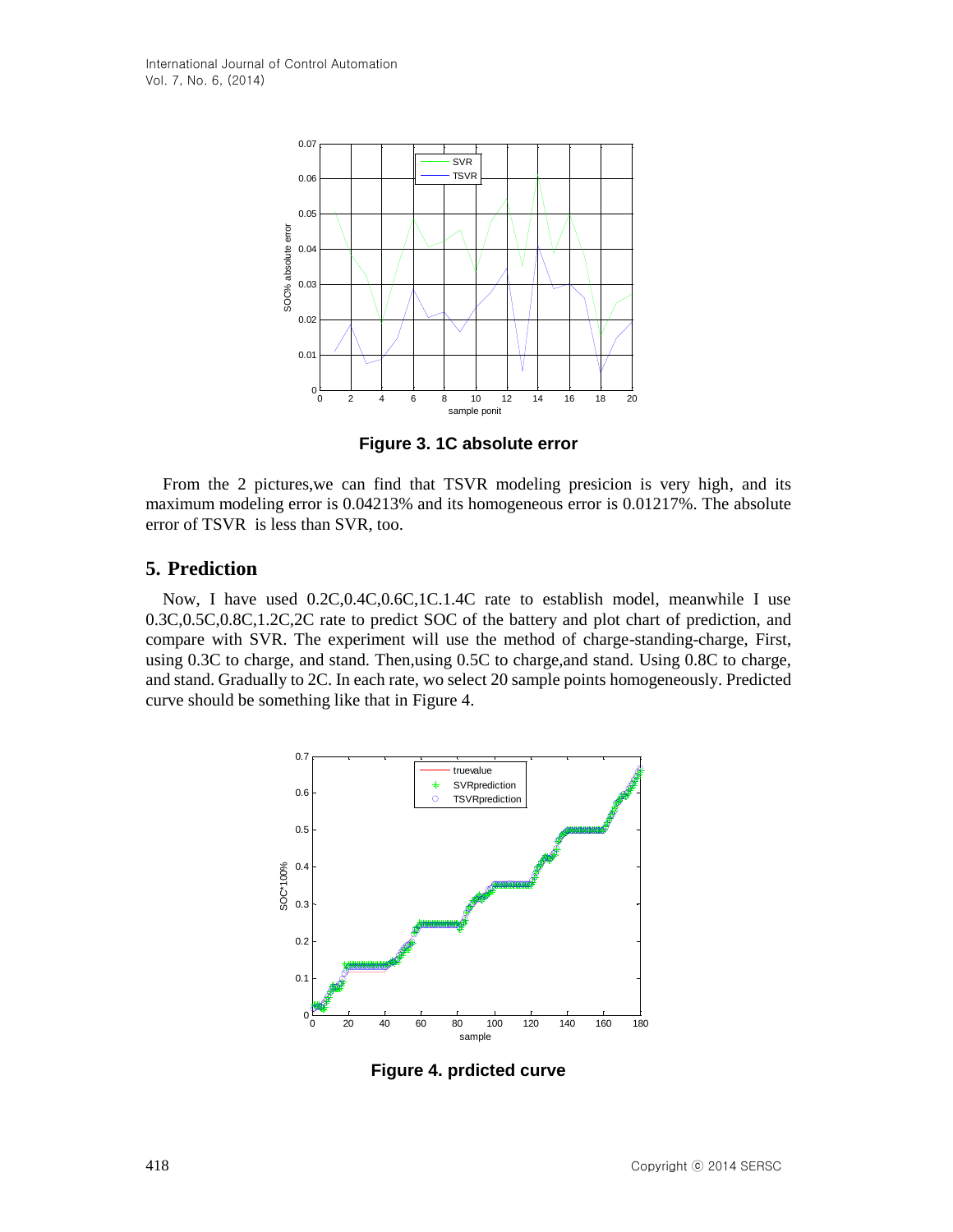

**Figure 3. 1C absolute error**

From the 2 pictures,we can find that TSVR modeling presicion is very high, and its maximum modeling error is 0.04213% and its homogeneous error is 0.01217%. The absolute error of TSVR is less than SVR, too.

### **5. Prediction**

Now, I have used 0.2C,0.4C,0.6C,1C.1.4C rate to establish model, meanwhile I use 0.3C,0.5C,0.8C,1.2C,2C rate to predict SOC of the battery and plot chart of prediction, and compare with SVR. The experiment will use the method of charge-standing-charge, First, using 0.3C to charge, and stand. Then,using 0.5C to charge,and stand. Using 0.8C to charge, and stand. Gradually to 2C. In each rate, wo select 20 sample points homogeneously. Predicted curve should be something like that in Figure 4.



**Figure 4. prdicted curve**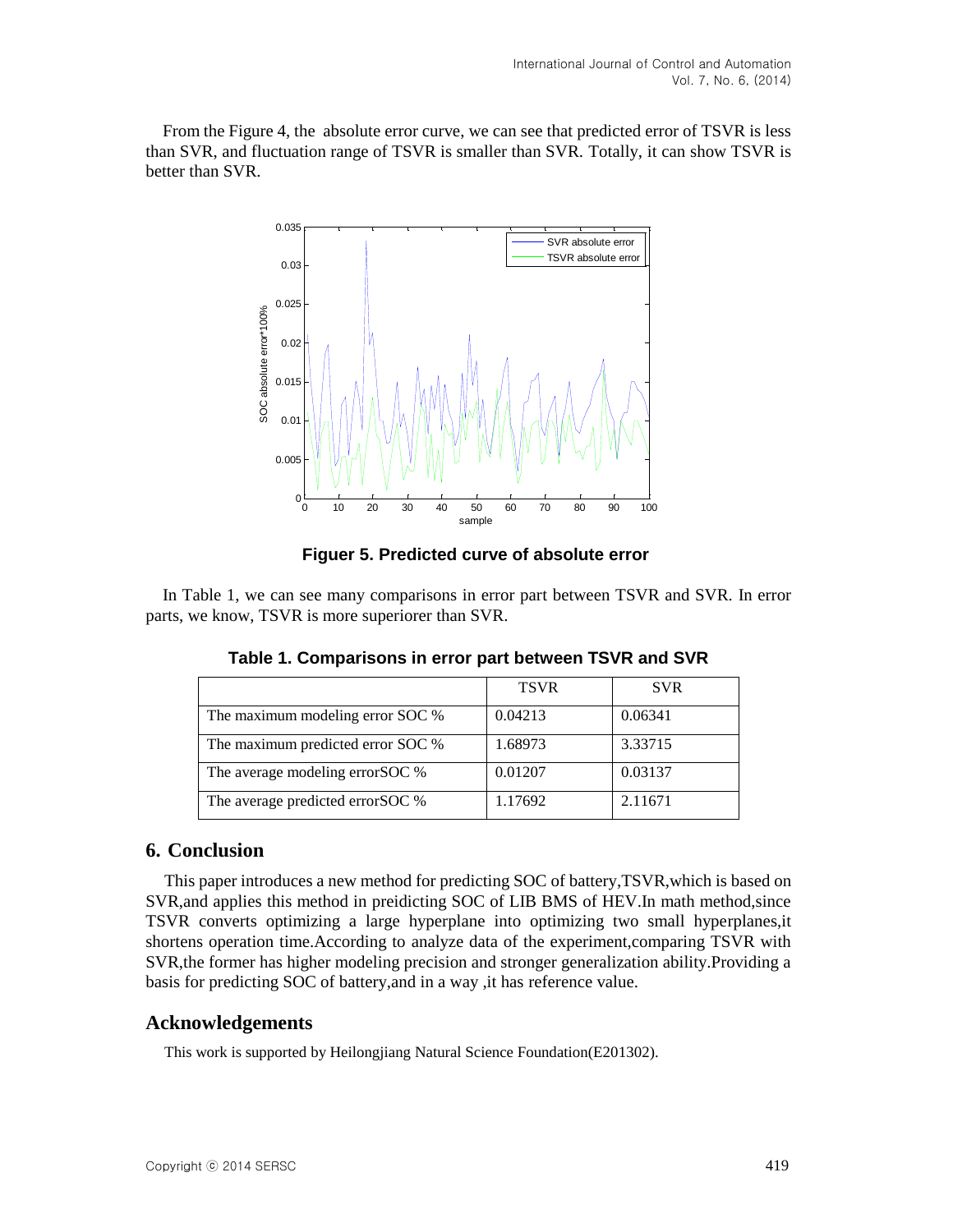From the Figure 4, the absolute error curve, we can see that predicted error of TSVR is less than SVR, and fluctuation range of TSVR is smaller than SVR. Totally, it can show TSVR is better than SVR.



 **Figuer 5. Predicted curve of absolute error**

In Table 1, we can see many comparisons in error part between TSVR and SVR. In error parts, we know, TSVR is more superiorer than SVR.

|                                   | <b>TSVR</b> | <b>SVR</b> |
|-----------------------------------|-------------|------------|
| The maximum modeling error SOC %  | 0.04213     | 0.06341    |
| The maximum predicted error SOC % | 1.68973     | 3.33715    |
| The average modeling error SOC %  | 0.01207     | 0.03137    |
| The average predicted error SOC % | 1.17692     | 2.11671    |

**Table 1. Comparisons in error part between TSVR and SVR**

### **6. Conclusion**

This paper introduces a new method for predicting SOC of battery,TSVR,which is based on SVR,and applies this method in preidicting SOC of LIB BMS of HEV.In math method,since TSVR converts optimizing a large hyperplane into optimizing two small hyperplanes,it shortens operation time.According to analyze data of the experiment,comparing TSVR with SVR,the former has higher modeling precision and stronger generalization ability.Providing a basis for predicting SOC of battery,and in a way ,it has reference value.

### **Acknowledgements**

This work is supported by Heilongjiang Natural Science Foundation(E201302).